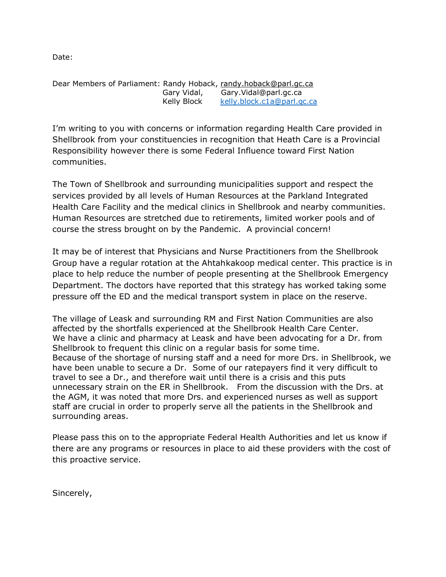Date:

Dear Members of Parliament: Randy Hoback, [randy.hoback@parl.gc.ca](mailto:randy.hoback@parl.gc.ca) Gary Vidal, Gary.Vidal@parl.gc.ca Kelly Block [kelly.block.c1a@parl.gc.ca](mailto:kelly.block.c1a@parl.gc.ca)

I'm writing to you with concerns or information regarding Health Care provided in Shellbrook from your constituencies in recognition that Heath Care is a Provincial Responsibility however there is some Federal Influence toward First Nation communities.

The Town of Shellbrook and surrounding municipalities support and respect the services provided by all levels of Human Resources at the Parkland Integrated Health Care Facility and the medical clinics in Shellbrook and nearby communities. Human Resources are stretched due to retirements, limited worker pools and of course the stress brought on by the Pandemic. A provincial concern!

It may be of interest that Physicians and Nurse Practitioners from the Shellbrook Group have a regular rotation at the Ahtahkakoop medical center. This practice is in place to help reduce the number of people presenting at the Shellbrook Emergency Department. The doctors have reported that this strategy has worked taking some pressure off the ED and the medical transport system in place on the reserve.

The village of Leask and surrounding RM and First Nation Communities are also affected by the shortfalls experienced at the Shellbrook Health Care Center. We have a clinic and pharmacy at Leask and have been advocating for a Dr. from Shellbrook to frequent this clinic on a regular basis for some time. Because of the shortage of nursing staff and a need for more Drs. in Shellbrook, we have been unable to secure a Dr. Some of our ratepayers find it very difficult to travel to see a Dr., and therefore wait until there is a crisis and this puts unnecessary strain on the ER in Shellbrook. From the discussion with the Drs. at the AGM, it was noted that more Drs. and experienced nurses as well as support staff are crucial in order to properly serve all the patients in the Shellbrook and surrounding areas.

Please pass this on to the appropriate Federal Health Authorities and let us know if there are any programs or resources in place to aid these providers with the cost of this proactive service.

Sincerely,